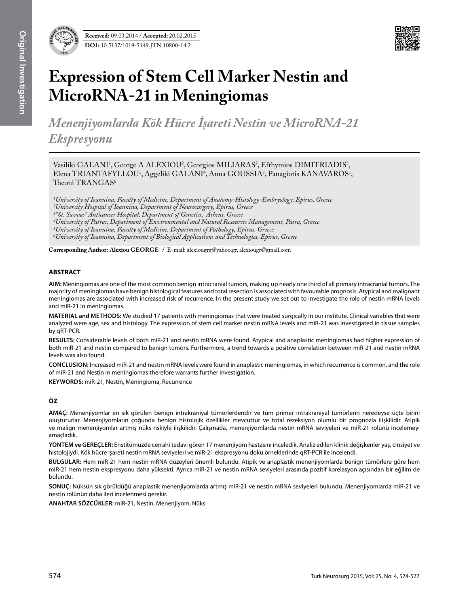

# **Expression of Stem Cell Marker Nestin and MicroRNA-21 in Meningiomas**

*Menenjiyomlarda Kök Hücre İşareti Nestin ve MicroRNA-21 Ekspresyonu* 

Vasiliki GALANI<sup>1</sup>, George A ALEXIOU<sup>2</sup>, Georgios MILIARAS<sup>2</sup>, Efthymios DIMITRIADIS<sup>3</sup>, Elena TRIANTAFYLLOU<sup>1</sup>, Aggeliki GALANI<sup>4</sup>, Anna GOUSSIA<sup>5</sup>, Panagiotis KANAVAROS<sup>1</sup>, Theoni TRANGAS<sup>6</sup>

*1University of Ioannina, Faculty of Medicine, Department of Anatomy-Histology-Embryology, Epirus, Greece 2University Hospital of Ioannina, Department of Neurosurgery, Epirus, Greece 3"St. Savvas" Anticancer Hospital, Department of Genetics, Athens, Greece 4University of Patras, Department of Environmental and Natural Resources Management, Patra, Greece 5University of Ioannina, Faculty of Medicine, Department of Pathology, Epirus, Greece 6University of Ioannina, Department of Biological Applications and Technologies, Epirus, Greece*

**Corresponding Author: Alexiou George /** E-mail: alexiougrg@yahoo.gr, alexiougr@gmail.com

# **ABSTRACT**

**AIm:** Meningiomas are one of the most common benign intracranial tumors, making up nearly one third of all primary intracranial tumors. The majority of meningiomas have benign histological features and total resection is associated with favourable prognosis. Atypical and malignant meningiomas are associated with increased risk of recurrence. In the present study we set out to investigate the role of nestin mRNA levels and miR-21 in meningiomas.

**MaterIal and Methods:** We studied 17 patients with meningiomas that were treated surgically in our institute. Clinical variables that were analyzed were age, sex and histology. The expression of stem cell marker nestin mRNA levels and miR-21 was investigated in tissue samples by qRT-PCR.

**Results:** Considerable levels of both miR-21 and nestin mRNA were found. Atypical and anaplastic meningiomas had higher expression of both miR-21 and nestin compared to benign tumors. Furthermore, a trend towards a positive correlation between miR-21 and nestin mRNA levels was also found.

**ConclusIon:** Increased miR-21 and nestin mRNA levels were found in anaplastic meningiomas, in which recurrence is common, and the role of miR-21 and Nestin in meningiomas therefore warrants further investigation.

**Keywords:** miR-21, Nestin, Meningioma, Recurrence

# **ÖZ**

**AMAÇ:** Menenjiyomlar en sık görülen benign intrakraniyal tümörlerdendir ve tüm primer intrakraniyal tümörlerin neredeyse üçte birini oluştururlar. Menenjiyomların çoğunda benign histolojik özellikler mevcuttur ve total rezeksiyon olumlu bir prognozla ilişkilidir. Atipik ve malign menenjiyomlar artmış nüks riskiyle ilişkilidir. Çalışmada, menenjiyomlarda nestin mRNA seviyeleri ve miR-21 rolünü incelemeyi amaçladık.

**YÖNTEM ve GEREÇLER:** Enstitümüzde cerrahi tedavi gören 17 menenjiyom hastasını inceledik. Analiz edilen klinik değişkenler yaş, cinsiyet ve histolojiydi. Kök hücre işareti nestin mRNA seviyeleri ve miR-21 ekspresyonu doku örneklerinde qRT-PCR ile incelendi.

**BULGULAR:** Hem miR-21 hem nestin mRNA düzeyleri önemli bulundu. Atipik ve anaplastik menenjiyomlarda benign tümörlere göre hem miR-21 hem nestin ekspresyonu daha yüksekti. Ayrıca miR-21 ve nestin mRNA seviyeleri arasında pozitif korelasyon açısından bir eğilim de bulundu.

**SONUÇ:** Nüksün sık görüldüğü anaplastik menenjiyomlarda artmış miR-21 ve nestin mRNA seviyeleri bulundu. Menenjiyomlarda miR-21 ve nestin rolünün daha ileri incelenmesi gerekir.

**ANAHTAR SÖZCÜKLER:** miR-21, Nestin, Menenjiyom, Nüks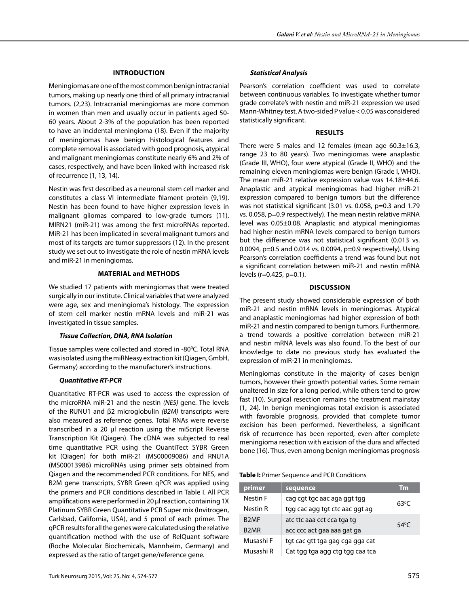#### **Introduction**

Meningiomas are one of the most common benign intracranial tumors, making up nearly one third of all primary intracranial tumors. (2,23). Intracranial meningiomas are more common in women than men and usually occur in patients aged 50- 60 years. About 2-3% of the population has been reported to have an incidental meningioma (18). Even if the majority of meningiomas have benign histological features and complete removal is associated with good prognosis, atypical and malignant meningiomas constitute nearly 6% and 2% of cases, respectively, and have been linked with increased risk of recurrence (1, 13, 14).

Nestin was first described as a neuronal stem cell marker and constitutes a class VI intermediate filament protein (9,19). Nestin has been found to have higher expression levels in malignant gliomas compared to low-grade tumors (11). MIRN21 (miR-21) was among the first microRNAs reported. MiR-21 has been implicated in several malignant tumors and most of its targets are tumor suppressors (12). In the present study we set out to investigate the role of nestin mRNA levels and miR-21 in meningiomas.

#### **Material and Methods**

We studied 17 patients with meningiomas that were treated surgically in our institute. Clinical variables that were analyzed were age, sex and meningioma's histology. The expression of stem cell marker nestin mRNA levels and miR-21 was investigated in tissue samples.

#### *Tissue Collection, DNA, RNA Isolation*

Tissue samples were collected and stored in -80°C. Total RNA was isolated using the miRNeasy extraction kit (Qiagen, GmbH, Germany) according to the manufacturer's instructions.

## *Quantitative RT-PCR*

Quantitative RT-PCR was used to access the expression of the microRNA miR-21 and the nestin *(NES)* gene*.* The levels of the RUNU1 and β2 microglobulin *(B2M)* transcripts were also measured as reference genes. Total RNAs were reverse transcribed in a 20 μl reaction using the miScript Reverse Transcription Kit (Qiagen). The cDNA was subjected to real time quantitative PCR using the QuantiTect SYBR Green kit (Qiagen) for both miR-21 (MS00009086) and RNU1A (MS00013986) microRNAs using primer sets obtained from Qiagen and the recommended PCR conditions. For NES, and B2M gene transcripts, SYBR Green qPCR was applied using the primers and PCR conditions described in Table I. All PCR amplifications were performed in 20 μl reaction, containing 1X Platinum SYBR Green Quantitative PCR Super mix (Invitrogen, Carlsbad, California, USA), and 5 pmol of each primer. The qPCR results for all the genes were calculated using the relative quantification method with the use of RelQuant software (Roche Molecular Biochemicals, Mannheim, Germany) and expressed as the ratio of target gene/reference gene.

## *Statistical Analysis*

Pearson's correlation coefficient was used to correlate between continuous variables. To investigate whether tumor grade correlate's with nestin and miR-21 expression we used Mann-Whitney test. A two-sided P value < 0.05 was considered statistically significant.

#### **Results**

There were 5 males and 12 females (mean age  $60.3 \pm 16.3$ , range 23 to 80 years). Two meningiomas were anaplastic (Grade III, WHO), four were atypical (Grade II, WHO) and the remaining eleven meningiomas were benign (Grade I, WHO). The mean miR-21 relative expression value was 14.18±44.6. Anaplastic and atypical meningiomas had higher miR-21 expression compared to benign tumors but the difference was not statistical significant (3.01 vs. 0.058, p=0.3 and 1.79 vs. 0.058, p=0.9 respectively). The mean nestin relative mRNA level was 0.05±0.08. Anaplastic and atypical meningiomas had higher nestin mRNA levels compared to benign tumors but the difference was not statistical significant (0.013 vs. 0.0094, p=0.5 and 0.014 vs. 0.0094, p=0.9 respectively). Using Pearson's correlation coefficients a trend was found but not a significant correlation between miR-21 and nestin mRNA levels (r=0.425, p=0.1).

## **Discussion**

The present study showed considerable expression of both miR-21 and nestin mRNA levels in meningiomas. Atypical and anaplastic meningiomas had higher expression of both miR-21 and nestin compared to benign tumors. Furthermore, a trend towards a positive correlation between miR-21 and nestin mRNA levels was also found. To the best of our knowledge to date no previous study has evaluated the expression of miR-21 in meningiomas.

Meningiomas constitute in the majority of cases benign tumors, however their growth potential varies. Some remain unaltered in size for a long period, while others tend to grow fast (10). Surgical resection remains the treatment mainstay (1, 24). In benign meningiomas total excision is associated with favorable prognosis, provided that complete tumor excision has been performed. Nevertheless, a significant risk of recurrence has been reported, even after complete meningioma resection with excision of the dura and affected bone (16). Thus, even among benign meningiomas prognosis

**Table I:** Primer Sequence and PCR Conditions

| primer    | sequence                        | <b>Tm</b>      |
|-----------|---------------------------------|----------------|
| Nestin F  | cag cgt tgc aac aga ggt tgg     | $63^{\circ}$ C |
| Nestin R  | tgg cac agg tgt ctc aac ggt ag  |                |
| B2MF      | atc ttc aaa cct cca tga tg      | $54^{\circ}$ C |
| B2MR      | acc ccc act gaa aaa gat ga      |                |
| Musashi F | tgt cac gtt tga gag cga gga cat |                |
| Musashi R | Cat tgg tga agg ctg tgg caa tca |                |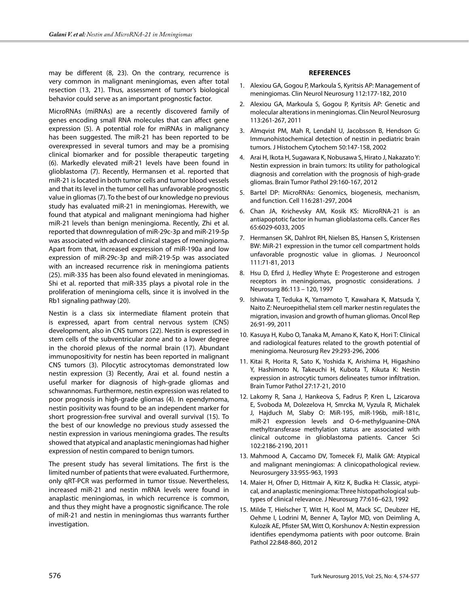may be different (8, 23). On the contrary, recurrence is very common in malignant meningiomas, even after total resection (13, 21). Thus, assessment of tumor's biological behavior could serve as an important prognostic factor.

MicroRNAs (miRNAs) are a recently discovered family of genes encoding small RNA molecules that can affect gene expression (5). A potential role for miRNAs in malignancy has been suggested. The miR-21 has been reported to be overexpressed in several tumors and may be a promising clinical biomarker and for possible therapeutic targeting (6). Markedly elevated miR-21 levels have been found in glioblastoma (7). Recently, Hermansen et al. reported that miR-21 is located in both tumor cells and tumor blood vessels and that its level in the tumor cell has unfavorable prognostic value in gliomas (7). To the best of our knowledge no previous study has evaluated miR-21 in meningiomas. Herewith, we found that atypical and malignant meningioma had higher miR-21 levels than benign meningioma. Recently, Zhi et al. reported that downregulation of miR-29c-3p and miR-219-5p was associated with advanced clinical stages of meningioma. Apart from that, increased expression of miR-190a and low expression of miR-29c-3p and miR-219-5p was associated with an increased recurrence risk in meningioma patients (25). miR-335 has been also found elevated in meningiomas. Shi et al. reported that miR-335 plays a pivotal role in the proliferation of meningioma cells, since it is involved in the Rb1 signaling pathway (20).

Nestin is a class six intermediate filament protein that is expressed, apart from central nervous system (CNS) development, also in CNS tumors (22). Nestin is expressed in stem cells of the subventricular zone and to a lower degree in the choroid plexus of the normal brain (17). Abundant immunopositivity for nestin has been reported in malignant CNS tumors (3). Pilocytic astrocytomas demonstrated low nestin expression (3) Recently, Arai et al. found nestin a useful marker for diagnosis of high-grade gliomas and schwannomas. Furthermore, nestin expression was related to poor prognosis in high-grade gliomas (4). In ependymoma, nestin positivity was found to be an independent marker for short progression-free survival and overall survival (15). To the best of our knowledge no previous study assessed the nestin expression in various meningioma grades. The results showed that atypical and anaplastic meningiomas had higher expression of nestin compared to benign tumors.

The present study has several limitations. The first is the limited number of patients that were evaluated. Furthermore, only qRT-PCR was performed in tumor tissue. Nevertheless, increased miR-21 and nestin mRNA levels were found in anaplastic meningiomas, in which recurrence is common, and thus they might have a prognostic significance. The role of miR-21 and nestin in meningiomas thus warrants further investigation.

#### **References**

- 1. Alexiou GA, Gogou P, Markoula S, Kyritsis AP: Management of meningiomas. Clin Neurol Neurosurg 112:177-182, 2010
- 2. Alexiou GA, Markoula S, Gogou P, Kyritsis AP: Genetic and molecular alterations in meningiomas. Clin Neurol Neurosurg 113:261-267, 2011
- 3. Almqvist PM, Mah R, Lendahl U, Jacobsson B, Hendson G: Immunohistochemical detection of nestin in pediatric brain tumors. J Histochem Cytochem 50:147-158, 2002
- 4. Arai H, Ikota H, Sugawara K, Nobusawa S, Hirato J, Nakazato Y: Nestin expression in brain tumors: Its utility for pathological diagnosis and correlation with the prognosis of high-grade gliomas. Brain Tumor Pathol 29:160-167, 2012
- 5. Bartel DP: MicroRNAs: Genomics, biogenesis, mechanism, and function. Cell 116:281-297, 2004
- 6. Chan JA, Krichevsky AM, Kosik KS: MicroRNA-21 is an antiapoptotic factor in human glioblastoma cells. Cancer Res 65:6029-6033, 2005
- 7. Hermansen SK, Dahlrot RH, Nielsen BS, Hansen S, Kristensen BW: MiR-21 expression in the tumor cell compartment holds unfavorable prognostic value in gliomas. J Neurooncol 111:71-81, 2013
- 8. Hsu D, Efird J, Hedley Whyte E: Progesterone and estrogen receptors in meningiomas, prognostic considerations. J Neurosurg 86:113 – 120, 1997
- 9. Ishiwata T, Teduka K, Yamamoto T, Kawahara K, Matsuda Y, Naito Z: Neuroepithelial stem cell marker nestin regulates the migration, invasion and growth of human gliomas. Oncol Rep 26:91-99, 2011
- 10. Kasuya H, Kubo O, Tanaka M, Amano K, Kato K, Hori T: Clinical and radiological features related to the growth potential of meningioma. Neurosurg Rev 29:293-296, 2006
- 11. Kitai R, Horita R, Sato K, Yoshida K, Arishima H, Higashino Y, Hashimoto N, Takeuchi H, Kubota T, Kikuta K: Nestin expression in astrocytic tumors delineates tumor infiltration. Brain Tumor Pathol 27:17-21, 2010
- 12. Lakomy R, Sana J, Hankeova S, Fadrus P, Kren L, Lzicarova E, Svoboda M, Dolezelova H, Smrcka M, Vyzula R, Michalek J, Hajduch M, Slaby O: MiR-195, miR-196b, miR-181c, miR-21 expression levels and O-6-methylguanine-DNA methyltransferase methylation status are associated with clinical outcome in glioblastoma patients. Cancer Sci 102:2186-2190, 2011
- 13. Mahmood A, Caccamo DV, Tomecek FJ, Malik GM: Atypical and malignant meningiomas: A clinicopathological review. Neurosurgery 33:955-963, 1993
- 14. Maier H, Ofner D, Hittmair A, Kitz K, Budka H: Classic, atypical, and anaplastic meningioma: Three histopathological subtypes of clinical relevance. J Neurosurg 77:616–623, 1992
- 15. Milde T, Hielscher T, Witt H, Kool M, Mack SC, Deubzer HE, Oehme I, Lodrini M, Benner A, Taylor MD, von Deimling A, Kulozik AE, Pfister SM, Witt O, Korshunov A: Nestin expression identifies ependymoma patients with poor outcome. Brain Pathol 22:848-860, 2012